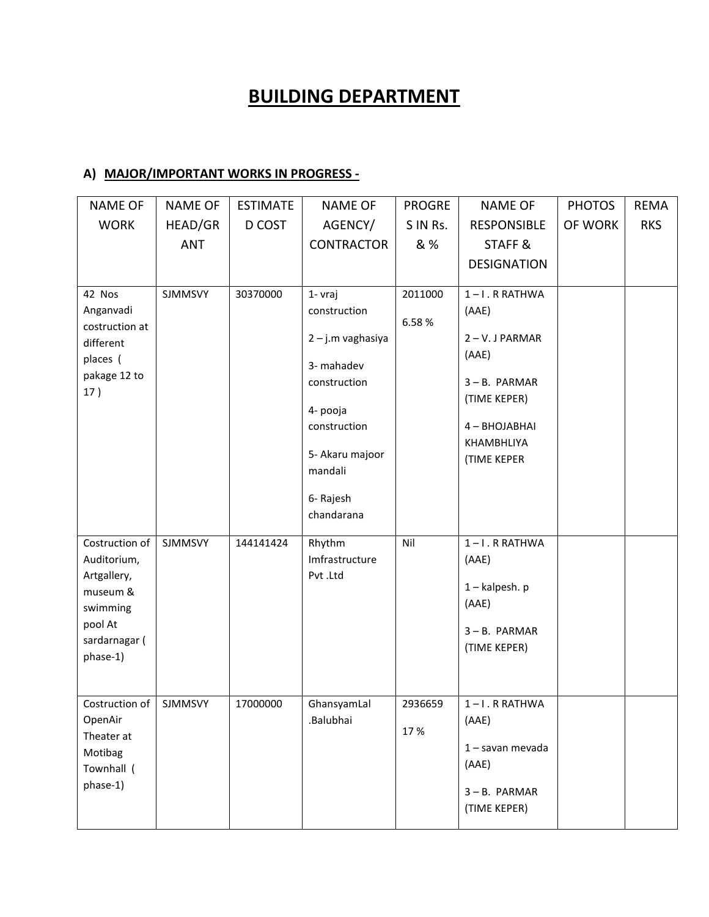## **BUILDING DEPARTMENT**

## **A) MAJOR/IMPORTANT WORKS IN PROGRESS -**

| <b>NAME OF</b>                                                                                               | <b>NAME OF</b> | <b>ESTIMATE</b> | <b>NAME OF</b>                                                                                                            | <b>PROGRE</b>    | <b>NAME OF</b>                                                                                                  | <b>PHOTOS</b> | <b>REMA</b> |
|--------------------------------------------------------------------------------------------------------------|----------------|-----------------|---------------------------------------------------------------------------------------------------------------------------|------------------|-----------------------------------------------------------------------------------------------------------------|---------------|-------------|
| <b>WORK</b>                                                                                                  | HEAD/GR        | D COST          | AGENCY/                                                                                                                   | S IN Rs.         | <b>RESPONSIBLE</b>                                                                                              | OF WORK       | <b>RKS</b>  |
|                                                                                                              | <b>ANT</b>     |                 | <b>CONTRACTOR</b>                                                                                                         | & %              | STAFF &                                                                                                         |               |             |
|                                                                                                              |                |                 |                                                                                                                           |                  | <b>DESIGNATION</b>                                                                                              |               |             |
| 42 Nos<br>Anganvadi<br>costruction at<br>different<br>places (<br>pakage 12 to<br>17)                        | <b>SJMMSVY</b> | 30370000        | 1- vraj<br>construction<br>2 - j.m vaghasiya<br>3- mahadev<br>construction<br>4- pooja<br>construction<br>5- Akaru majoor | 2011000<br>6.58% | $1 - I$ . R RATHWA<br>(AAE)<br>2-V.JPARMAR<br>(AAE)<br>3-B. PARMAR<br>(TIME KEPER)<br>4-BHOJABHAI<br>KHAMBHLIYA |               |             |
|                                                                                                              |                |                 | mandali<br>6- Rajesh<br>chandarana                                                                                        |                  | <b>(TIME KEPER</b>                                                                                              |               |             |
| Costruction of<br>Auditorium,<br>Artgallery,<br>museum &<br>swimming<br>pool At<br>sardarnagar (<br>phase-1) | <b>SJMMSVY</b> | 144141424       | Rhythm<br>Imfrastructure<br>Pvt.Ltd                                                                                       | Nil              | 1-I.RRATHWA<br>(AAE)<br>$1 -$ kalpesh. p<br>(AAE)<br>3-B. PARMAR<br>(TIME KEPER)                                |               |             |
| Costruction of<br>OpenAir<br>Theater at<br>Motibag<br>Townhall (<br>phase-1)                                 | <b>SJMMSVY</b> | 17000000        | GhansyamLal<br>.Balubhai                                                                                                  | 2936659<br>17%   | 1-I.RRATHWA<br>(AAE)<br>1 - savan mevada<br>(AAE)<br>3-B. PARMAR<br>(TIME KEPER)                                |               |             |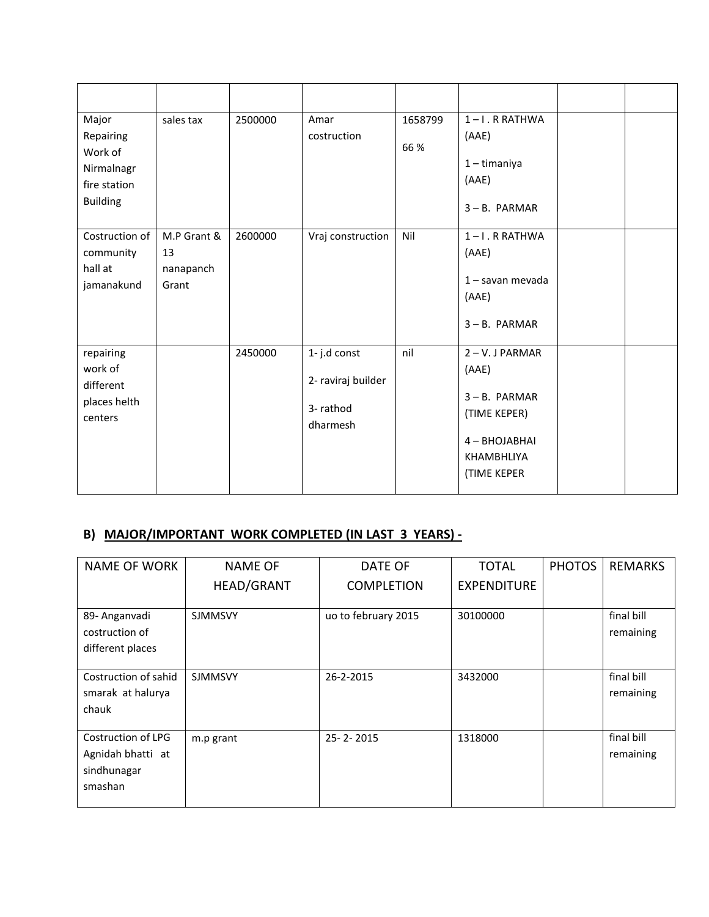| Major<br>Repairing<br>Work of<br>Nirmalnagr<br>fire station<br><b>Building</b> | sales tax                               | 2500000 | Amar<br>costruction                                       | 1658799<br>66% | $1 - I$ . R RATHWA<br>(AAE)<br>$1 -$ timaniya<br>(AAE)<br>$3 - B$ . PARMAR                                          |  |
|--------------------------------------------------------------------------------|-----------------------------------------|---------|-----------------------------------------------------------|----------------|---------------------------------------------------------------------------------------------------------------------|--|
| Costruction of<br>community<br>hall at<br>jamanakund                           | M.P Grant &<br>13<br>nanapanch<br>Grant | 2600000 | Vraj construction                                         | Nil            | $1 - I$ . R RATHWA<br>(AAE)<br>$1 -$ savan mevada<br>(AAE)<br>$3 - B$ . PARMAR                                      |  |
| repairing<br>work of<br>different<br>places helth<br>centers                   |                                         | 2450000 | 1-j.d const<br>2- raviraj builder<br>3-rathod<br>dharmesh | nil            | $2 - V.$ J PARMAR<br>(AAE)<br>$3 - B$ . PARMAR<br>(TIME KEPER)<br>4 - BHOJABHAI<br>KHAMBHLIYA<br><b>(TIME KEPER</b> |  |

## **B) MAJOR/IMPORTANT WORK COMPLETED (IN LAST 3 YEARS) -**

| <b>NAME OF WORK</b>       | <b>NAME OF</b>    | DATE OF             | <b>TOTAL</b>       | <b>PHOTOS</b> | <b>REMARKS</b> |
|---------------------------|-------------------|---------------------|--------------------|---------------|----------------|
|                           | <b>HEAD/GRANT</b> | <b>COMPLETION</b>   | <b>EXPENDITURE</b> |               |                |
|                           |                   |                     |                    |               |                |
| 89- Anganvadi             | <b>SJMMSVY</b>    | uo to february 2015 | 30100000           |               | final bill     |
| costruction of            |                   |                     |                    |               | remaining      |
| different places          |                   |                     |                    |               |                |
|                           |                   |                     |                    |               |                |
| Costruction of sahid      | <b>SJMMSVY</b>    | 26-2-2015           | 3432000            |               | final bill     |
| smarak at halurya         |                   |                     |                    |               | remaining      |
| chauk                     |                   |                     |                    |               |                |
|                           |                   |                     |                    |               |                |
| <b>Costruction of LPG</b> | m.p grant         | 25-2-2015           | 1318000            |               | final bill     |
| Agnidah bhatti at         |                   |                     |                    |               | remaining      |
| sindhunagar               |                   |                     |                    |               |                |
| smashan                   |                   |                     |                    |               |                |
|                           |                   |                     |                    |               |                |